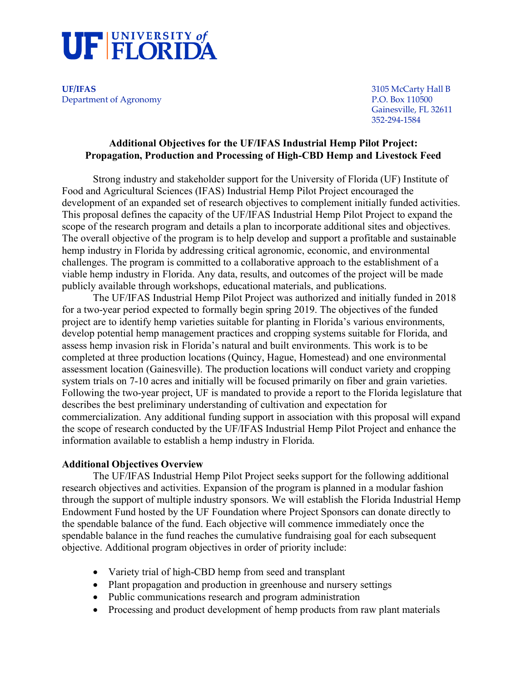

**UF/IFAS** 3105 McCarty Hall B Department of Agronomy

Gainesville, FL 32611 352-294-1584

### **Additional Objectives for the UF/IFAS Industrial Hemp Pilot Project: Propagation, Production and Processing of High-CBD Hemp and Livestock Feed**

Strong industry and stakeholder support for the University of Florida (UF) Institute of Food and Agricultural Sciences (IFAS) Industrial Hemp Pilot Project encouraged the development of an expanded set of research objectives to complement initially funded activities. This proposal defines the capacity of the UF/IFAS Industrial Hemp Pilot Project to expand the scope of the research program and details a plan to incorporate additional sites and objectives. The overall objective of the program is to help develop and support a profitable and sustainable hemp industry in Florida by addressing critical agronomic, economic, and environmental challenges. The program is committed to a collaborative approach to the establishment of a viable hemp industry in Florida. Any data, results, and outcomes of the project will be made publicly available through workshops, educational materials, and publications.

The UF/IFAS Industrial Hemp Pilot Project was authorized and initially funded in 2018 for a two-year period expected to formally begin spring 2019. The objectives of the funded project are to identify hemp varieties suitable for planting in Florida's various environments, develop potential hemp management practices and cropping systems suitable for Florida, and assess hemp invasion risk in Florida's natural and built environments. This work is to be completed at three production locations (Quincy, Hague, Homestead) and one environmental assessment location (Gainesville). The production locations will conduct variety and cropping system trials on 7-10 acres and initially will be focused primarily on fiber and grain varieties. Following the two-year project, UF is mandated to provide a report to the Florida legislature that describes the best preliminary understanding of cultivation and expectation for commercialization. Any additional funding support in association with this proposal will expand the scope of research conducted by the UF/IFAS Industrial Hemp Pilot Project and enhance the information available to establish a hemp industry in Florida.

#### **Additional Objectives Overview**

The UF/IFAS Industrial Hemp Pilot Project seeks support for the following additional research objectives and activities. Expansion of the program is planned in a modular fashion through the support of multiple industry sponsors. We will establish the Florida Industrial Hemp Endowment Fund hosted by the UF Foundation where Project Sponsors can donate directly to the spendable balance of the fund. Each objective will commence immediately once the spendable balance in the fund reaches the cumulative fundraising goal for each subsequent objective. Additional program objectives in order of priority include:

- Variety trial of high-CBD hemp from seed and transplant
- Plant propagation and production in greenhouse and nursery settings
- Public communications research and program administration
- Processing and product development of hemp products from raw plant materials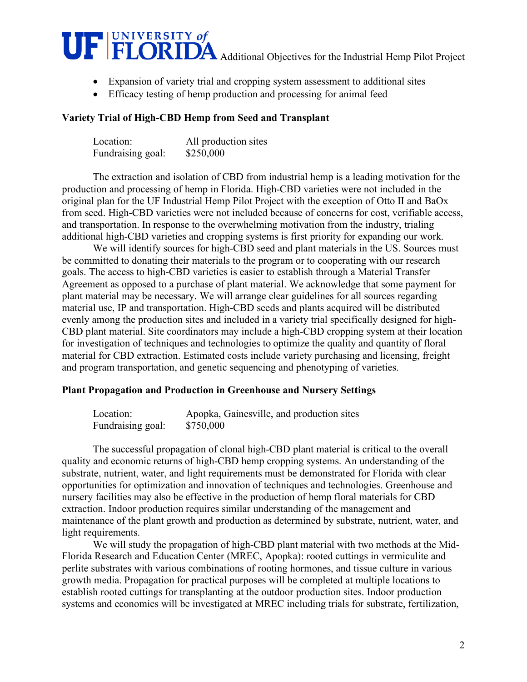# UP | UNIVERSITY of<br>
HIORIDA Additional Objectives for the Industrial Hemp Pilot Project

- Expansion of variety trial and cropping system assessment to additional sites
- Efficacy testing of hemp production and processing for animal feed

## **Variety Trial of High-CBD Hemp from Seed and Transplant**

| Location:         | All production sites |
|-------------------|----------------------|
| Fundraising goal: | \$250,000            |

The extraction and isolation of CBD from industrial hemp is a leading motivation for the production and processing of hemp in Florida. High-CBD varieties were not included in the original plan for the UF Industrial Hemp Pilot Project with the exception of Otto II and BaOx from seed. High-CBD varieties were not included because of concerns for cost, verifiable access, and transportation. In response to the overwhelming motivation from the industry, trialing additional high-CBD varieties and cropping systems is first priority for expanding our work.

We will identify sources for high-CBD seed and plant materials in the US. Sources must be committed to donating their materials to the program or to cooperating with our research goals. The access to high-CBD varieties is easier to establish through a Material Transfer Agreement as opposed to a purchase of plant material. We acknowledge that some payment for plant material may be necessary. We will arrange clear guidelines for all sources regarding material use, IP and transportation. High-CBD seeds and plants acquired will be distributed evenly among the production sites and included in a variety trial specifically designed for high-CBD plant material. Site coordinators may include a high-CBD cropping system at their location for investigation of techniques and technologies to optimize the quality and quantity of floral material for CBD extraction. Estimated costs include variety purchasing and licensing, freight and program transportation, and genetic sequencing and phenotyping of varieties.

### **Plant Propagation and Production in Greenhouse and Nursery Settings**

| Location:         | Apopka, Gainesville, and production sites |
|-------------------|-------------------------------------------|
| Fundraising goal: | \$750,000                                 |

The successful propagation of clonal high-CBD plant material is critical to the overall quality and economic returns of high-CBD hemp cropping systems. An understanding of the substrate, nutrient, water, and light requirements must be demonstrated for Florida with clear opportunities for optimization and innovation of techniques and technologies. Greenhouse and nursery facilities may also be effective in the production of hemp floral materials for CBD extraction. Indoor production requires similar understanding of the management and maintenance of the plant growth and production as determined by substrate, nutrient, water, and light requirements.

We will study the propagation of high-CBD plant material with two methods at the Mid-Florida Research and Education Center (MREC, Apopka): rooted cuttings in vermiculite and perlite substrates with various combinations of rooting hormones, and tissue culture in various growth media. Propagation for practical purposes will be completed at multiple locations to establish rooted cuttings for transplanting at the outdoor production sites. Indoor production systems and economics will be investigated at MREC including trials for substrate, fertilization,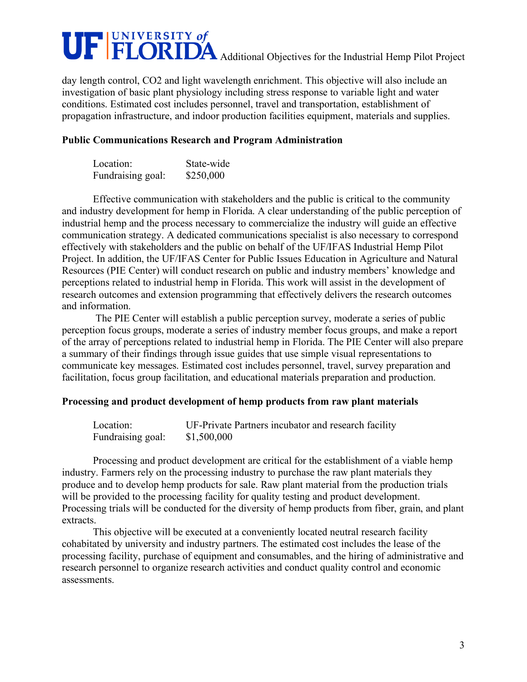# UF |UNIVERSITY of<br>
HIORIDA Additional Objectives for the Industrial Hemp Pilot Project

day length control, CO2 and light wavelength enrichment. This objective will also include an investigation of basic plant physiology including stress response to variable light and water conditions. Estimated cost includes personnel, travel and transportation, establishment of propagation infrastructure, and indoor production facilities equipment, materials and supplies.

# **Public Communications Research and Program Administration**

| Location:         | State-wide |
|-------------------|------------|
| Fundraising goal: | \$250,000  |

Effective communication with stakeholders and the public is critical to the community and industry development for hemp in Florida. A clear understanding of the public perception of industrial hemp and the process necessary to commercialize the industry will guide an effective communication strategy. A dedicated communications specialist is also necessary to correspond effectively with stakeholders and the public on behalf of the UF/IFAS Industrial Hemp Pilot Project. In addition, the UF/IFAS Center for Public Issues Education in Agriculture and Natural Resources (PIE Center) will conduct research on public and industry members' knowledge and perceptions related to industrial hemp in Florida. This work will assist in the development of research outcomes and extension programming that effectively delivers the research outcomes and information.

The PIE Center will establish a public perception survey, moderate a series of public perception focus groups, moderate a series of industry member focus groups, and make a report of the array of perceptions related to industrial hemp in Florida. The PIE Center will also prepare a summary of their findings through issue guides that use simple visual representations to communicate key messages. Estimated cost includes personnel, travel, survey preparation and facilitation, focus group facilitation, and educational materials preparation and production.

### **Processing and product development of hemp products from raw plant materials**

| Location:         | UF-Private Partners incubator and research facility |
|-------------------|-----------------------------------------------------|
| Fundraising goal: | \$1,500,000                                         |

Processing and product development are critical for the establishment of a viable hemp industry. Farmers rely on the processing industry to purchase the raw plant materials they produce and to develop hemp products for sale. Raw plant material from the production trials will be provided to the processing facility for quality testing and product development. Processing trials will be conducted for the diversity of hemp products from fiber, grain, and plant extracts.

This objective will be executed at a conveniently located neutral research facility cohabitated by university and industry partners. The estimated cost includes the lease of the processing facility, purchase of equipment and consumables, and the hiring of administrative and research personnel to organize research activities and conduct quality control and economic assessments.